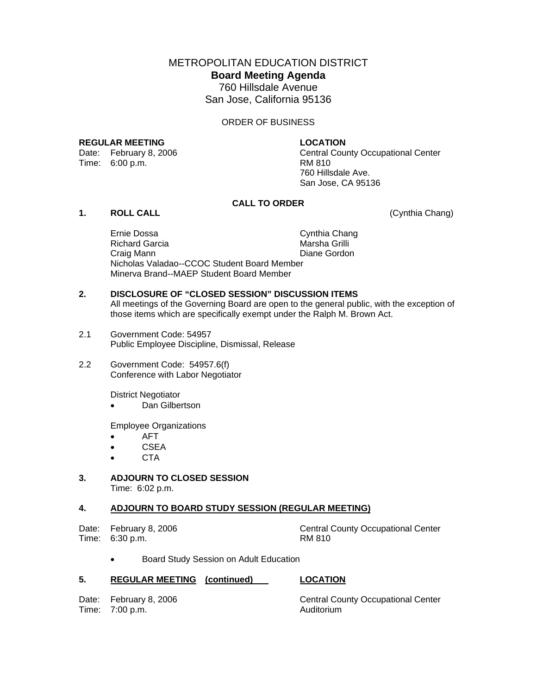METROPOLITAN EDUCATION DISTRICT **Board Meeting Agenda**  760 Hillsdale Avenue San Jose, California 95136

ORDER OF BUSINESS

## **REGULAR MEETING LOCATION**

Time: 6:00 p.m. RM 810

Date: February 8, 2006 Central County Occupational Center 760 Hillsdale Ave. San Jose, CA 95136

## **CALL TO ORDER**

## **1. ROLL CALL** (Cynthia Chang)

Ernie Dossa Cynthia Chang Richard Garcia **Marsha Grilli**  Craig Mann Diane Gordon Nicholas Valadao--CCOC Student Board Member Minerva Brand--MAEP Student Board Member

## **2. DISCLOSURE OF "CLOSED SESSION" DISCUSSION ITEMS**

All meetings of the Governing Board are open to the general public, with the exception of those items which are specifically exempt under the Ralph M. Brown Act.

- 2.1 Government Code: 54957 Public Employee Discipline, Dismissal, Release
- 2.2 Government Code: 54957.6(f) Conference with Labor Negotiator

District Negotiator

Dan Gilbertson

Employee Organizations

- AFT
- CSEA
- CTA

## **3. ADJOURN TO CLOSED SESSION**  Time: 6:02 p.m.

## **4. ADJOURN TO BOARD STUDY SESSION (REGULAR MEETING)**

Time: 6:30 p.m.

Date: February 8, 2006 Central County Occupational Center<br>
Time: 6:30 p.m. Central County Occupational Center

• Board Study Session on Adult Education

## **5. REGULAR MEETING (continued) LOCATION**

Time: 7:00 p.m. Auditorium

Date: February 8, 2006 Central County Occupational Center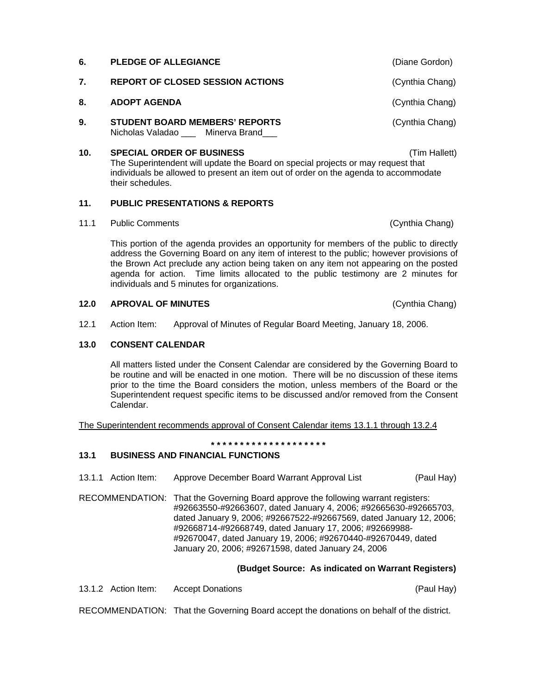**7.** REPORT OF CLOSED SESSION ACTIONS **CONSTANT (Cynthia Chang) 8. ADOPT AGENDA** (Cynthia Chang) **9. STUDENT BOARD MEMBERS' REPORTS Example 20** (Cynthia Chang) Nicholas Valadao \_\_\_ Minerva Brand **10. SPECIAL ORDER OF BUSINESS** (Tim Hallett) The Superintendent will update the Board on special projects or may request that individuals be allowed to present an item out of order on the agenda to accommodate

## **11. PUBLIC PRESENTATIONS & REPORTS**

11.1 Public Comments (Cynthia Chang)

their schedules.

This portion of the agenda provides an opportunity for members of the public to directly address the Governing Board on any item of interest to the public; however provisions of the Brown Act preclude any action being taken on any item not appearing on the posted agenda for action. Time limits allocated to the public testimony are 2 minutes for individuals and 5 minutes for organizations.

## **12.0 APROVAL OF MINUTES** (Cynthia Chang)

12.1 Action Item: Approval of Minutes of Regular Board Meeting, January 18, 2006.

### **13.0 CONSENT CALENDAR**

All matters listed under the Consent Calendar are considered by the Governing Board to be routine and will be enacted in one motion. There will be no discussion of these items prior to the time the Board considers the motion, unless members of the Board or the Superintendent request specific items to be discussed and/or removed from the Consent Calendar.

The Superintendent recommends approval of Consent Calendar items 13.1.1 through 13.2.4

**\* \* \* \* \* \* \* \* \* \* \* \* \* \* \* \* \* \* \* \*** 

## **13.1 BUSINESS AND FINANCIAL FUNCTIONS**

- 13.1.1 Action Item: Approve December Board Warrant Approval List (Paul Hay)
- RECOMMENDATION: That the Governing Board approve the following warrant registers: #92663550-#92663607, dated January 4, 2006; #92665630-#92665703, dated January 9, 2006; #92667522-#92667569, dated January 12, 2006; #92668714-#92668749, dated January 17, 2006; #92669988- #92670047, dated January 19, 2006; #92670440-#92670449, dated January 20, 2006; #92671598, dated January 24, 2006

## **(Budget Source: As indicated on Warrant Registers)**

13.1.2 Action Item: Accept Donations (Paul Hay)

RECOMMENDATION: That the Governing Board accept the donations on behalf of the district.

**6. PLEDGE OF ALLEGIANCE** (Diane Gordon)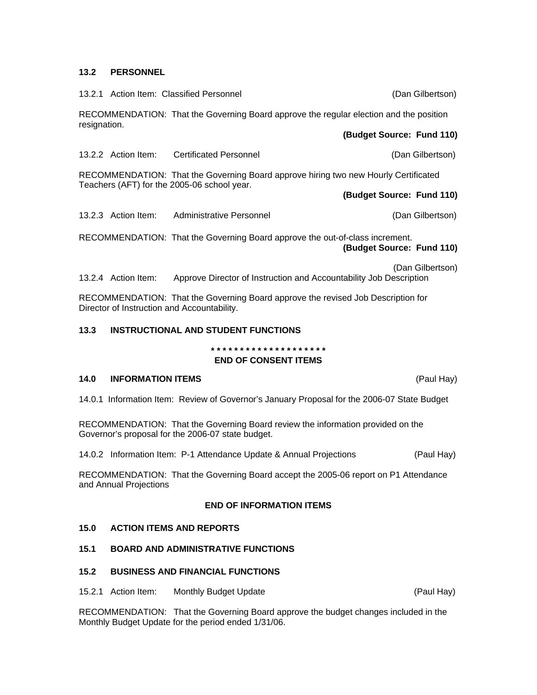## **13.2 PERSONNEL**

13.2.1 Action Item: Classified Personnel (Dan Gilbertson)

RECOMMENDATION: That the Governing Board approve the regular election and the position resignation. **(Budget Source: Fund 110)** 

13.2.2 Action Item: Certificated Personnel (Dan Gilbertson)

RECOMMENDATION: That the Governing Board approve hiring two new Hourly Certificated Teachers (AFT) for the 2005-06 school year.

- **(Budget Source: Fund 110)**
- 13.2.3 Action Item: Administrative Personnel (Dan Gilbertson)

RECOMMENDATION: That the Governing Board approve the out-of-class increment. **(Budget Source: Fund 110)** 

(Dan Gilbertson)

13.2.4 Action Item: Approve Director of Instruction and Accountability Job Description

RECOMMENDATION: That the Governing Board approve the revised Job Description for Director of Instruction and Accountability.

## **13.3 INSTRUCTIONAL AND STUDENT FUNCTIONS**

# **\* \* \* \* \* \* \* \* \* \* \* \* \* \* \* \* \* \* \* \***

## **END OF CONSENT ITEMS**

## **14.0 INFORMATION ITEMS** (Paul Hay)

14.0.1 Information Item: Review of Governor's January Proposal for the 2006-07 State Budget

RECOMMENDATION: That the Governing Board review the information provided on the Governor's proposal for the 2006-07 state budget.

14.0.2 Information Item: P-1 Attendance Update & Annual Projections (Paul Hay)

RECOMMENDATION: That the Governing Board accept the 2005-06 report on P1 Attendance and Annual Projections

## **END OF INFORMATION ITEMS**

## **15.0 ACTION ITEMS AND REPORTS**

## **15.1 BOARD AND ADMINISTRATIVE FUNCTIONS**

## **15.2 BUSINESS AND FINANCIAL FUNCTIONS**

15.2.1 Action Item: Monthly Budget Update (Paul Hay)

RECOMMENDATION: That the Governing Board approve the budget changes included in the Monthly Budget Update for the period ended 1/31/06.